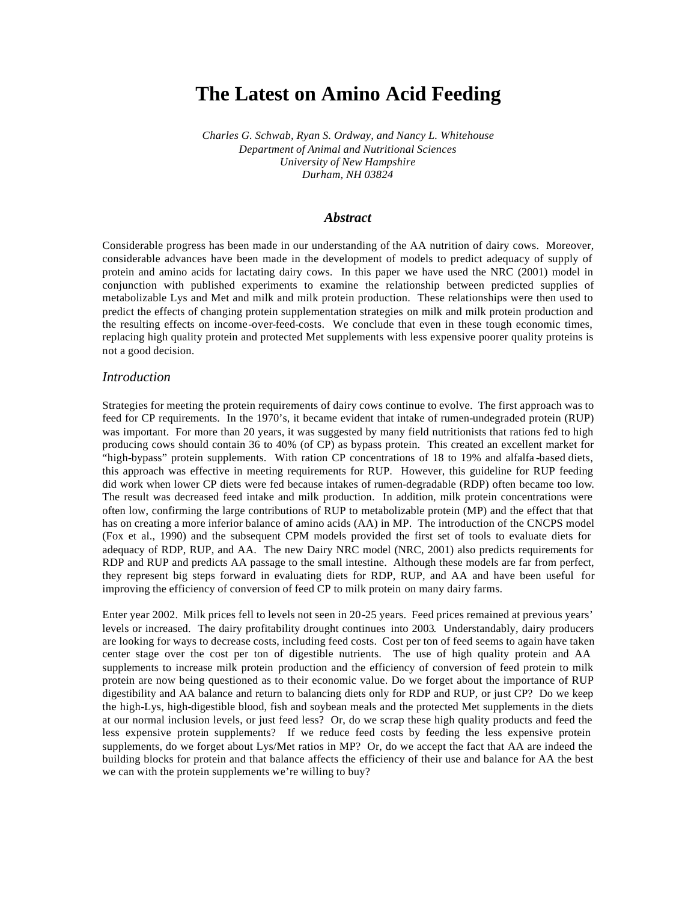# **The Latest on Amino Acid Feeding**

*Charles G. Schwab, Ryan S. Ordway, and Nancy L. Whitehouse Department of Animal and Nutritional Sciences University of New Hampshire Durham, NH 03824*

#### *Abstract*

Considerable progress has been made in our understanding of the AA nutrition of dairy cows. Moreover, considerable advances have been made in the development of models to predict adequacy of supply of protein and amino acids for lactating dairy cows. In this paper we have used the NRC (2001) model in conjunction with published experiments to examine the relationship between predicted supplies of metabolizable Lys and Met and milk and milk protein production. These relationships were then used to predict the effects of changing protein supplementation strategies on milk and milk protein production and the resulting effects on income-over-feed-costs. We conclude that even in these tough economic times, replacing high quality protein and protected Met supplements with less expensive poorer quality proteins is not a good decision.

### *Introduction*

Strategies for meeting the protein requirements of dairy cows continue to evolve. The first approach was to feed for CP requirements. In the 1970's, it became evident that intake of rumen-undegraded protein (RUP) was important. For more than 20 years, it was suggested by many field nutritionists that rations fed to high producing cows should contain 36 to 40% (of CP) as bypass protein. This created an excellent market for "high-bypass" protein supplements. With ration CP concentrations of 18 to 19% and alfalfa -based diets, this approach was effective in meeting requirements for RUP. However, this guideline for RUP feeding did work when lower CP diets were fed because intakes of rumen-degradable (RDP) often became too low. The result was decreased feed intake and milk production. In addition, milk protein concentrations were often low, confirming the large contributions of RUP to metabolizable protein (MP) and the effect that that has on creating a more inferior balance of amino acids (AA) in MP. The introduction of the CNCPS model (Fox et al., 1990) and the subsequent CPM models provided the first set of tools to evaluate diets for adequacy of RDP, RUP, and AA. The new Dairy NRC model (NRC, 2001) also predicts requirements for RDP and RUP and predicts AA passage to the small intestine. Although these models are far from perfect, they represent big steps forward in evaluating diets for RDP, RUP, and AA and have been useful for improving the efficiency of conversion of feed CP to milk protein on many dairy farms.

Enter year 2002. Milk prices fell to levels not seen in 20-25 years. Feed prices remained at previous years' levels or increased. The dairy profitability drought continues into 2003. Understandably, dairy producers are looking for ways to decrease costs, including feed costs. Cost per ton of feed seems to again have taken center stage over the cost per ton of digestible nutrients. The use of high quality protein and AA supplements to increase milk protein production and the efficiency of conversion of feed protein to milk protein are now being questioned as to their economic value. Do we forget about the importance of RUP digestibility and AA balance and return to balancing diets only for RDP and RUP, or just CP? Do we keep the high-Lys, high-digestible blood, fish and soybean meals and the protected Met supplements in the diets at our normal inclusion levels, or just feed less? Or, do we scrap these high quality products and feed the less expensive protein supplements? If we reduce feed costs by feeding the less expensive protein supplements, do we forget about Lys/Met ratios in MP? Or, do we accept the fact that AA are indeed the building blocks for protein and that balance affects the efficiency of their use and balance for AA the best we can with the protein supplements we're willing to buy?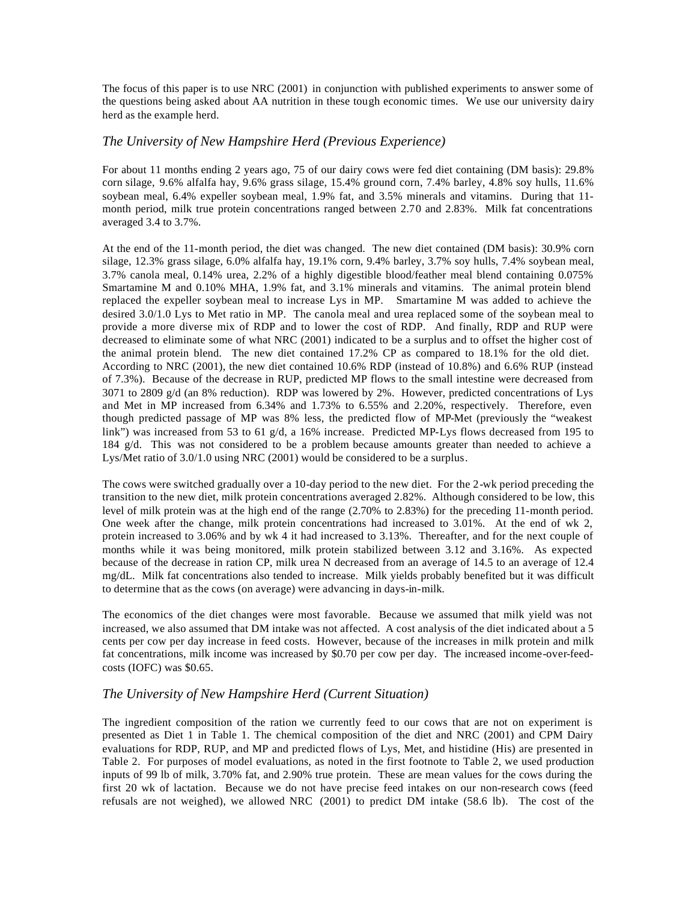The focus of this paper is to use NRC (2001) in conjunction with published experiments to answer some of the questions being asked about AA nutrition in these tough economic times.We use our university dairy herd as the example herd.

### *The University of New Hampshire Herd (Previous Experience)*

For about 11 months ending 2 years ago, 75 of our dairy cows were fed diet containing (DM basis): 29.8% corn silage, 9.6% alfalfa hay, 9.6% grass silage, 15.4% ground corn, 7.4% barley, 4.8% soy hulls, 11.6% soybean meal, 6.4% expeller soybean meal, 1.9% fat, and 3.5% minerals and vitamins. During that 11 month period, milk true protein concentrations ranged between 2.70 and 2.83%. Milk fat concentrations averaged 3.4 to 3.7%.

At the end of the 11-month period, the diet was changed. The new diet contained (DM basis): 30.9% corn silage, 12.3% grass silage, 6.0% alfalfa hay, 19.1% corn, 9.4% barley, 3.7% soy hulls, 7.4% soybean meal, 3.7% canola meal, 0.14% urea, 2.2% of a highly digestible blood/feather meal blend containing 0.075% Smartamine M and 0.10% MHA, 1.9% fat, and 3.1% minerals and vitamins. The animal protein blend replaced the expeller soybean meal to increase Lys in MP. Smartamine M was added to achieve the desired 3.0/1.0 Lys to Met ratio in MP. The canola meal and urea replaced some of the soybean meal to provide a more diverse mix of RDP and to lower the cost of RDP. And finally, RDP and RUP were decreased to eliminate some of what NRC (2001) indicated to be a surplus and to offset the higher cost of the animal protein blend. The new diet contained 17.2% CP as compared to 18.1% for the old diet. According to NRC (2001), the new diet contained 10.6% RDP (instead of 10.8%) and 6.6% RUP (instead of 7.3%). Because of the decrease in RUP, predicted MP flows to the small intestine were decreased from 3071 to 2809 g/d (an 8% reduction). RDP was lowered by 2%. However, predicted concentrations of Lys and Met in MP increased from 6.34% and 1.73% to 6.55% and 2.20%, respectively. Therefore, even though predicted passage of MP was 8% less, the predicted flow of MP-Met (previously the "weakest link") was increased from 53 to 61 g/d, a 16% increase. Predicted MP-Lys flows decreased from 195 to 184 g/d. This was not considered to be a problem because amounts greater than needed to achieve a Lys/Met ratio of 3.0/1.0 using NRC (2001) would be considered to be a surplus.

The cows were switched gradually over a 10-day period to the new diet. For the 2-wk period preceding the transition to the new diet, milk protein concentrations averaged 2.82%. Although considered to be low, this level of milk protein was at the high end of the range (2.70% to 2.83%) for the preceding 11-month period. One week after the change, milk protein concentrations had increased to 3.01%. At the end of wk 2, protein increased to 3.06% and by wk 4 it had increased to 3.13%. Thereafter, and for the next couple of months while it was being monitored, milk protein stabilized between 3.12 and 3.16%. As expected because of the decrease in ration CP, milk urea N decreased from an average of 14.5 to an average of 12.4 mg/dL. Milk fat concentrations also tended to increase. Milk yields probably benefited but it was difficult to determine that as the cows (on average) were advancing in days-in-milk.

The economics of the diet changes were most favorable. Because we assumed that milk yield was not increased, we also assumed that DM intake was not affected. A cost analysis of the diet indicated about a 5 cents per cow per day increase in feed costs. However, because of the increases in milk protein and milk fat concentrations, milk income was increased by \$0.70 per cow per day. The increased income-over-feedcosts (IOFC) was \$0.65.

#### *The University of New Hampshire Herd (Current Situation)*

The ingredient composition of the ration we currently feed to our cows that are not on experiment is presented as Diet 1 in Table 1. The chemical composition of the diet and NRC (2001) and CPM Dairy evaluations for RDP, RUP, and MP and predicted flows of Lys, Met, and histidine (His) are presented in Table 2. For purposes of model evaluations, as noted in the first footnote to Table 2, we used production inputs of 99 lb of milk, 3.70% fat, and 2.90% true protein. These are mean values for the cows during the first 20 wk of lactation. Because we do not have precise feed intakes on our non-research cows (feed refusals are not weighed), we allowed NRC (2001) to predict DM intake (58.6 lb). The cost of the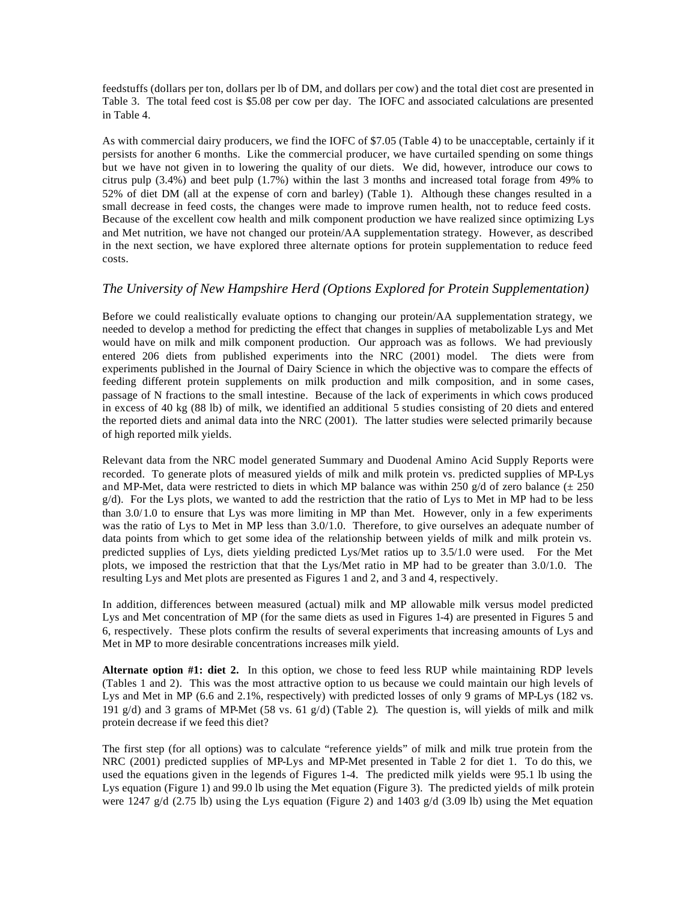feedstuffs (dollars per ton, dollars per lb of DM, and dollars per cow) and the total diet cost are presented in Table 3. The total feed cost is \$5.08 per cow per day. The IOFC and associated calculations are presented in Table 4.

As with commercial dairy producers, we find the IOFC of \$7.05 (Table 4) to be unacceptable, certainly if it persists for another 6 months. Like the commercial producer, we have curtailed spending on some things but we have not given in to lowering the quality of our diets. We did, however, introduce our cows to citrus pulp  $(3.4\%)$  and beet pulp  $(1.7\%)$  within the last 3 months and increased total forage from 49% to 52% of diet DM (all at the expense of corn and barley) (Table 1). Although these changes resulted in a small decrease in feed costs, the changes were made to improve rumen health, not to reduce feed costs. Because of the excellent cow health and milk component production we have realized since optimizing Lys and Met nutrition, we have not changed our protein/AA supplementation strategy. However, as described in the next section, we have explored three alternate options for protein supplementation to reduce feed costs.

## *The University of New Hampshire Herd (Options Explored for Protein Supplementation)*

Before we could realistically evaluate options to changing our protein/AA supplementation strategy, we needed to develop a method for predicting the effect that changes in supplies of metabolizable Lys and Met would have on milk and milk component production. Our approach was as follows. We had previously entered 206 diets from published experiments into the NRC (2001) model. The diets were from experiments published in the Journal of Dairy Science in which the objective was to compare the effects of feeding different protein supplements on milk production and milk composition, and in some cases, passage of N fractions to the small intestine. Because of the lack of experiments in which cows produced in excess of 40 kg (88 lb) of milk, we identified an additional 5 studies consisting of 20 diets and entered the reported diets and animal data into the NRC (2001). The latter studies were selected primarily because of high reported milk yields.

Relevant data from the NRC model generated Summary and Duodenal Amino Acid Supply Reports were recorded. To generate plots of measured yields of milk and milk protein vs. predicted supplies of MP-Lys and MP-Met, data were restricted to diets in which MP balance was within 250 g/d of zero balance ( $\pm 250$ )  $g/d$ ). For the Lys plots, we wanted to add the restriction that the ratio of Lys to Met in MP had to be less than 3.0/1.0 to ensure that Lys was more limiting in MP than Met. However, only in a few experiments was the ratio of Lys to Met in MP less than 3.0/1.0. Therefore, to give ourselves an adequate number of data points from which to get some idea of the relationship between yields of milk and milk protein vs. predicted supplies of Lys, diets yielding predicted Lys/Met ratios up to 3.5/1.0 were used. For the Met plots, we imposed the restriction that that the Lys/Met ratio in MP had to be greater than 3.0/1.0. The resulting Lys and Met plots are presented as Figures 1 and 2, and 3 and 4, respectively.

In addition, differences between measured (actual) milk and MP allowable milk versus model predicted Lys and Met concentration of MP (for the same diets as used in Figures 1-4) are presented in Figures 5 and 6, respectively. These plots confirm the results of several experiments that increasing amounts of Lys and Met in MP to more desirable concentrations increases milk yield.

**Alternate option #1: diet 2.** In this option, we chose to feed less RUP while maintaining RDP levels (Tables 1 and 2). This was the most attractive option to us because we could maintain our high levels of Lys and Met in MP (6.6 and 2.1%, respectively) with predicted losses of only 9 grams of MP-Lys (182 vs. 191 g/d) and 3 grams of MP-Met (58 vs. 61 g/d) (Table 2). The question is, will yields of milk and milk protein decrease if we feed this diet?

The first step (for all options) was to calculate "reference yields" of milk and milk true protein from the NRC (2001) predicted supplies of MP-Lys and MP-Met presented in Table 2 for diet 1. To do this, we used the equations given in the legends of Figures 1-4. The predicted milk yields were 95.1 lb using the Lys equation (Figure 1) and 99.0 lb using the Met equation (Figure 3). The predicted yields of milk protein were 1247 g/d (2.75 lb) using the Lys equation (Figure 2) and 1403 g/d (3.09 lb) using the Met equation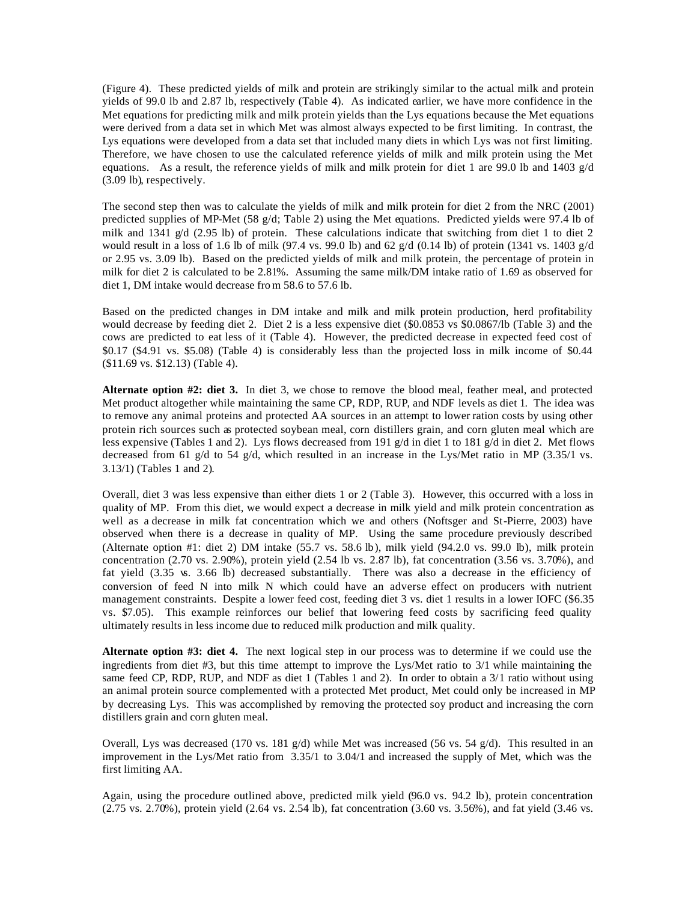(Figure 4). These predicted yields of milk and protein are strikingly similar to the actual milk and protein yields of 99.0 lb and 2.87 lb, respectively (Table 4). As indicated earlier, we have more confidence in the Met equations for predicting milk and milk protein yields than the Lys equations because the Met equations were derived from a data set in which Met was almost always expected to be first limiting. In contrast, the Lys equations were developed from a data set that included many diets in which Lys was not first limiting. Therefore, we have chosen to use the calculated reference yields of milk and milk protein using the Met equations. As a result, the reference yields of milk and milk protein for diet 1 are 99.0 lb and 1403  $g/d$ (3.09 lb), respectively.

The second step then was to calculate the yields of milk and milk protein for diet 2 from the NRC (2001) predicted supplies of MP-Met (58 g/d; Table 2) using the Met equations. Predicted yields were 97.4 lb of milk and 1341 g/d (2.95 lb) of protein. These calculations indicate that switching from diet 1 to diet 2 would result in a loss of 1.6 lb of milk (97.4 vs. 99.0 lb) and 62 g/d (0.14 lb) of protein (1341 vs. 1403 g/d or 2.95 vs. 3.09 lb). Based on the predicted yields of milk and milk protein, the percentage of protein in milk for diet 2 is calculated to be 2.81%. Assuming the same milk/DM intake ratio of 1.69 as observed for diet 1, DM intake would decrease fro m 58.6 to 57.6 lb.

Based on the predicted changes in DM intake and milk and milk protein production, herd profitability would decrease by feeding diet 2. Diet 2 is a less expensive diet (\$0.0853 vs \$0.0867/lb (Table 3) and the cows are predicted to eat less of it (Table 4). However, the predicted decrease in expected feed cost of \$0.17 (\$4.91 vs. \$5.08) (Table 4) is considerably less than the projected loss in milk income of \$0.44 (\$11.69 vs. \$12.13) (Table 4).

**Alternate option #2: diet 3.** In diet 3, we chose to remove the blood meal, feather meal, and protected Met product altogether while maintaining the same CP, RDP, RUP, and NDF levels as diet 1. The idea was to remove any animal proteins and protected AA sources in an attempt to lower ration costs by using other protein rich sources such as protected soybean meal, corn distillers grain, and corn gluten meal which are less expensive (Tables 1 and 2). Lys flows decreased from 191 g/d in diet 1 to 181 g/d in diet 2. Met flows decreased from 61 g/d to 54 g/d, which resulted in an increase in the Lys/Met ratio in MP (3.35/1 vs. 3.13/1) (Tables 1 and 2).

Overall, diet 3 was less expensive than either diets 1 or 2 (Table 3). However, this occurred with a loss in quality of MP. From this diet, we would expect a decrease in milk yield and milk protein concentration as well as a decrease in milk fat concentration which we and others (Noftsger and St-Pierre, 2003) have observed when there is a decrease in quality of MP. Using the same procedure previously described (Alternate option #1: diet 2) DM intake  $(55.7 \text{ vs. } 58.6 \text{ lb})$ , milk yield  $(94.2.0 \text{ vs. } 99.0 \text{ lb})$ , milk protein concentration (2.70 vs. 2.90%), protein yield (2.54 lb vs. 2.87 lb), fat concentration (3.56 vs. 3.70%), and fat yield (3.35 vs. 3.66 lb) decreased substantially. There was also a decrease in the efficiency of conversion of feed N into milk N which could have an adverse effect on producers with nutrient management constraints. Despite a lower feed cost, feeding diet 3 vs. diet 1 results in a lower IOFC (\$6.35 vs. \$7.05). This example reinforces our belief that lowering feed costs by sacrificing feed quality ultimately results in less income due to reduced milk production and milk quality.

**Alternate option #3: diet 4.** The next logical step in our process was to determine if we could use the ingredients from diet #3, but this time attempt to improve the Lys/Met ratio to 3/1 while maintaining the same feed CP, RDP, RUP, and NDF as diet 1 (Tables 1 and 2). In order to obtain a 3/1 ratio without using an animal protein source complemented with a protected Met product, Met could only be increased in MP by decreasing Lys. This was accomplished by removing the protected soy product and increasing the corn distillers grain and corn gluten meal.

Overall, Lys was decreased (170 vs. 181  $g/d$ ) while Met was increased (56 vs. 54  $g/d$ ). This resulted in an improvement in the Lys/Met ratio from 3.35/1 to 3.04/1 and increased the supply of Met, which was the first limiting AA.

Again, using the procedure outlined above, predicted milk yield (96.0 vs. 94.2 lb), protein concentration (2.75 vs. 2.70%), protein yield (2.64 vs. 2.54 lb), fat concentration (3.60 vs. 3.56%), and fat yield (3.46 vs.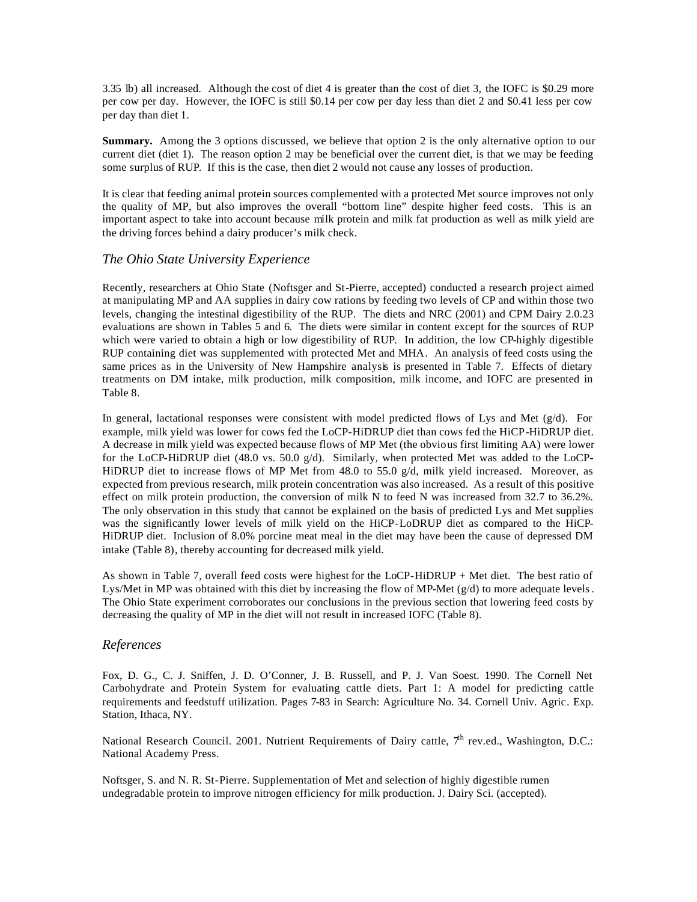3.35 lb) all increased. Although the cost of diet 4 is greater than the cost of diet 3, the IOFC is \$0.29 more per cow per day. However, the IOFC is still \$0.14 per cow per day less than diet 2 and \$0.41 less per cow per day than diet 1.

**Summary.** Among the 3 options discussed, we believe that option 2 is the only alternative option to our current diet (diet 1). The reason option 2 may be beneficial over the current diet, is that we may be feeding some surplus of RUP. If this is the case, then diet 2 would not cause any losses of production.

It is clear that feeding animal protein sources complemented with a protected Met source improves not only the quality of MP, but also improves the overall "bottom line" despite higher feed costs. This is an important aspect to take into account because milk protein and milk fat production as well as milk yield are the driving forces behind a dairy producer's milk check.

## *The Ohio State University Experience*

Recently, researchers at Ohio State (Noftsger and St-Pierre, accepted) conducted a research project aimed at manipulating MP and AA supplies in dairy cow rations by feeding two levels of CP and within those two levels, changing the intestinal digestibility of the RUP. The diets and NRC (2001) and CPM Dairy 2.0.23 evaluations are shown in Tables 5 and 6. The diets were similar in content except for the sources of RUP which were varied to obtain a high or low digestibility of RUP. In addition, the low CP-highly digestible RUP containing diet was supplemented with protected Met and MHA. An analysis of feed costs using the same prices as in the University of New Hampshire analysis is presented in Table 7. Effects of dietary treatments on DM intake, milk production, milk composition, milk income, and IOFC are presented in Table 8.

In general, lactational responses were consistent with model predicted flows of Lys and Met  $(g/d)$ . For example, milk yield was lower for cows fed the LoCP-HiDRUP diet than cows fed the HiCP-HiDRUP diet. A decrease in milk yield was expected because flows of MP Met (the obvious first limiting AA) were lower for the LoCP-HiDRUP diet (48.0 vs. 50.0 g/d). Similarly, when protected Met was added to the LoCP-HiDRUP diet to increase flows of MP Met from 48.0 to 55.0 g/d, milk yield increased. Moreover, as expected from previous research, milk protein concentration was also increased. As a result of this positive effect on milk protein production, the conversion of milk N to feed N was increased from 32.7 to 36.2%. The only observation in this study that cannot be explained on the basis of predicted Lys and Met supplies was the significantly lower levels of milk yield on the HiCP-LoDRUP diet as compared to the HiCP-HiDRUP diet. Inclusion of 8.0% porcine meat meal in the diet may have been the cause of depressed DM intake (Table 8), thereby accounting for decreased milk yield.

As shown in Table 7, overall feed costs were highest for the LoCP-HiDRUP + Met diet. The best ratio of Lys/Met in MP was obtained with this diet by increasing the flow of MP-Met (g/d) to more adequate levels. The Ohio State experiment corroborates our conclusions in the previous section that lowering feed costs by decreasing the quality of MP in the diet will not result in increased IOFC (Table 8).

#### *References*

Fox, D. G., C. J. Sniffen, J. D. O'Conner, J. B. Russell, and P. J. Van Soest. 1990. The Cornell Net Carbohydrate and Protein System for evaluating cattle diets. Part 1: A model for predicting cattle requirements and feedstuff utilization. Pages 7-83 in Search: Agriculture No. 34. Cornell Univ. Agric. Exp. Station, Ithaca, NY.

National Research Council. 2001. Nutrient Requirements of Dairy cattle,  $7<sup>th</sup>$  rev.ed., Washington, D.C.: National Academy Press.

Noftsger, S. and N. R. St-Pierre. Supplementation of Met and selection of highly digestible rumen undegradable protein to improve nitrogen efficiency for milk production. J. Dairy Sci. (accepted).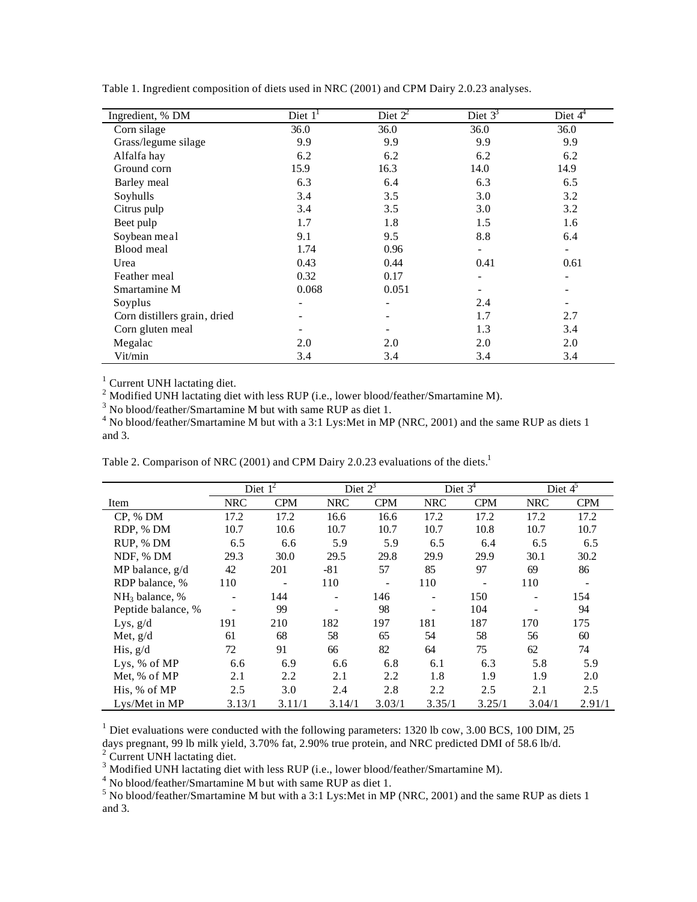| Ingredient, % DM             | Diet $11$ | Diet $2^2$ | Diet $3^3$ | Diet $4^{\overline{4}}$ |
|------------------------------|-----------|------------|------------|-------------------------|
| Corn silage                  | 36.0      | 36.0       | 36.0       | 36.0                    |
| Grass/legume silage          | 9.9       | 9.9        | 9.9        | 9.9                     |
| Alfalfa hay                  | 6.2       | 6.2        | 6.2        | 6.2                     |
| Ground corn                  | 15.9      | 16.3       | 14.0       | 14.9                    |
| Barley meal                  | 6.3       | 6.4        | 6.3        | 6.5                     |
| Soyhulls                     | 3.4       | 3.5        | 3.0        | 3.2                     |
| Citrus pulp                  | 3.4       | 3.5        | 3.0        | 3.2                     |
| Beet pulp                    | 1.7       | 1.8        | 1.5        | 1.6                     |
| Soybean meal                 | 9.1       | 9.5        | 8.8        | 6.4                     |
| Blood meal                   | 1.74      | 0.96       |            |                         |
| Urea                         | 0.43      | 0.44       | 0.41       | 0.61                    |
| Feather meal                 | 0.32      | 0.17       |            |                         |
| Smartamine M                 | 0.068     | 0.051      |            |                         |
| Soyplus                      |           |            | 2.4        |                         |
| Corn distillers grain, dried |           |            | 1.7        | 2.7                     |
| Corn gluten meal             |           |            | 1.3        | 3.4                     |
| Megalac                      | 2.0       | 2.0        | 2.0        | 2.0                     |
| Vit/min                      | 3.4       | 3.4        | 3.4        | 3.4                     |

Table 1. Ingredient composition of diets used in NRC (2001) and CPM Dairy 2.0.23 analyses.

<sup>1</sup> Current UNH lactating diet.

<sup>2</sup> Modified UNH lactating diet with less RUP (i.e., lower blood/feather/Smartamine M).

 $3$  No blood/feather/Smartamine M but with same RUP as diet 1.

 $4$  No blood/feather/Smartamine M but with a 3:1 Lys: Met in MP (NRC, 2001) and the same RUP as diets 1 and 3.

|                    | Diet $1^2$               |            | Diet $2^3$ |            | Diet $3^4$                   |            | Diet $4^5$ |            |
|--------------------|--------------------------|------------|------------|------------|------------------------------|------------|------------|------------|
| Item               | <b>NRC</b>               | <b>CPM</b> | <b>NRC</b> | <b>CPM</b> | <b>NRC</b>                   | <b>CPM</b> | <b>NRC</b> | <b>CPM</b> |
| CP, % DM           | 17.2                     | 17.2       | 16.6       | 16.6       | 17.2                         | 17.2       | 17.2       | 17.2       |
| RDP, % DM          | 10.7                     | 10.6       | 10.7       | 10.7       | 10.7                         | 10.8       | 10.7       | 10.7       |
| RUP, % DM          | 6.5                      | 6.6        | 5.9        | 5.9        | 6.5                          | 6.4        | 6.5        | 6.5        |
| NDF, % DM          | 29.3                     | 30.0       | 29.5       | 29.8       | 29.9                         | 29.9       | 30.1       | 30.2       |
| MP balance, g/d    | 42                       | 201        | $-81$      | 57         | 85                           | 97         | 69         | 86         |
| RDP balance, %     | 110                      |            | 110        |            | 110                          |            | 110        |            |
| $NH3$ balance, %   | $\overline{\phantom{0}}$ | 144        | -          | 146        | $\qquad \qquad \blacksquare$ | 150        |            | 154        |
| Peptide balance, % |                          | 99         |            | 98         |                              | 104        |            | 94         |
| Lys, $g/d$         | 191                      | 210        | 182        | 197        | 181                          | 187        | 170        | 175        |
| Met, $g/d$         | 61                       | 68         | 58         | 65         | 54                           | 58         | 56         | 60         |
| His, $g/d$         | 72                       | 91         | 66         | 82         | 64                           | 75         | 62         | 74         |
| Lys. $%$ of MP     | 6.6                      | 6.9        | 6.6        | 6.8        | 6.1                          | 6.3        | 5.8        | 5.9        |
| Met, % of MP       | 2.1                      | 2.2        | 2.1        | 2.2        | 1.8                          | 1.9        | 1.9        | 2.0        |
| His, % of MP       | 2.5                      | 3.0        | 2.4        | 2.8        | 2.2                          | 2.5        | 2.1        | 2.5        |
| Lys/Met in MP      | 3.13/1                   | 3.11/1     | 3.14/1     | 3.03/1     | 3.35/1                       | 3.25/1     | 3.04/1     | 2.91/1     |

Table 2. Comparison of NRC (2001) and CPM Dairy 2.0.23 evaluations of the diets.<sup>1</sup>

 $<sup>1</sup>$  Diet evaluations were conducted with the following parameters: 1320 lb cow, 3.00 BCS, 100 DIM, 25</sup> days pregnant, 99 lb milk yield, 3.70% fat, 2.90% true protein, and NRC predicted DMI of 58.6 lb/d.

<sup>2</sup> Current UNH lactating diet.

 $3$  Modified UNH lactating diet with less RUP (i.e., lower blood/feather/Smartamine M).

<sup>4</sup> No blood/feather/Smartamine M but with same RUP as diet 1.

 $<sup>5</sup>$  No blood/feather/Smartamine M but with a 3:1 Lys:Met in MP (NRC, 2001) and the same RUP as diets 1</sup> and 3.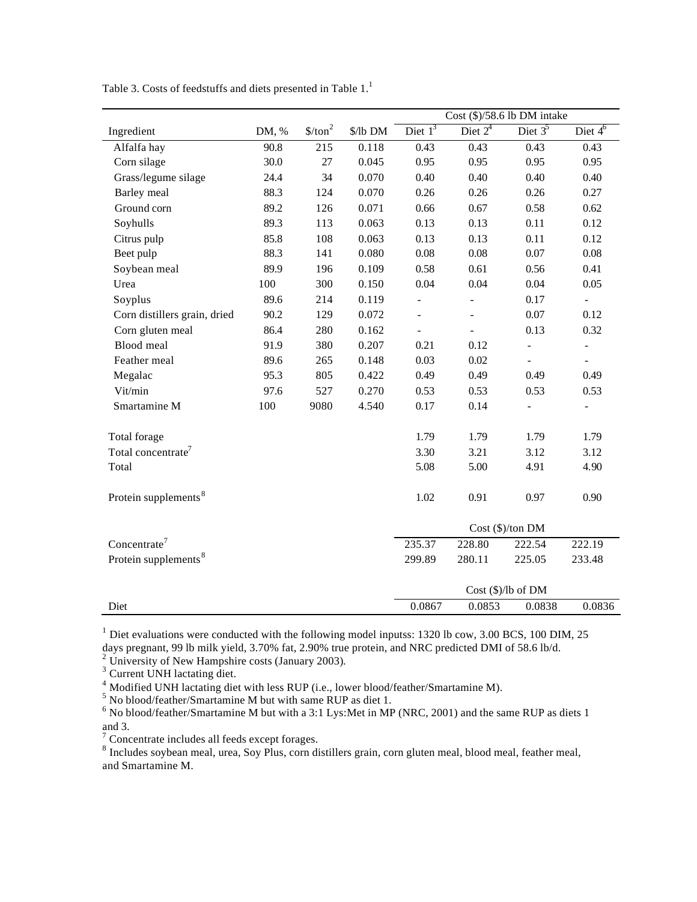|                                  |       |                     |          | $Cost ($)/58.6$ lb DM intake |                |                          |                          |
|----------------------------------|-------|---------------------|----------|------------------------------|----------------|--------------------------|--------------------------|
| Ingredient                       | DM, % | \$/ton <sup>2</sup> | \$/lb DM | Diet $1^3$                   | Diet $2^4$     | Diet $3^5$               | Diet $4^6$               |
| Alfalfa hay                      | 90.8  | 215                 | 0.118    | 0.43                         | 0.43           | 0.43                     | 0.43                     |
| Corn silage                      | 30.0  | 27                  | 0.045    | 0.95                         | 0.95           | 0.95                     | 0.95                     |
| Grass/legume silage              | 24.4  | 34                  | 0.070    | 0.40                         | 0.40           | 0.40                     | 0.40                     |
| <b>Barley</b> meal               | 88.3  | 124                 | 0.070    | 0.26                         | 0.26           | 0.26                     | 0.27                     |
| Ground corn                      | 89.2  | 126                 | 0.071    | 0.66                         | 0.67           | 0.58                     | 0.62                     |
| Soyhulls                         | 89.3  | 113                 | 0.063    | 0.13                         | 0.13           | 0.11                     | 0.12                     |
| Citrus pulp                      | 85.8  | 108                 | 0.063    | 0.13                         | 0.13           | 0.11                     | 0.12                     |
| Beet pulp                        | 88.3  | 141                 | 0.080    | $0.08\,$                     | 0.08           | 0.07                     | 0.08                     |
| Soybean meal                     | 89.9  | 196                 | 0.109    | 0.58                         | 0.61           | 0.56                     | 0.41                     |
| Urea                             | 100   | 300                 | 0.150    | 0.04                         | 0.04           | 0.04                     | 0.05                     |
| Soyplus                          | 89.6  | 214                 | 0.119    | $\frac{1}{2}$                | $\frac{1}{2}$  | 0.17                     |                          |
| Corn distillers grain, dried     | 90.2  | 129                 | 0.072    |                              | $\overline{a}$ | 0.07                     | 0.12                     |
| Corn gluten meal                 | 86.4  | 280                 | 0.162    | $\frac{1}{2}$                | $\overline{a}$ | 0.13                     | 0.32                     |
| <b>Blood</b> meal                | 91.9  | 380                 | 0.207    | 0.21                         | 0.12           | $\overline{\phantom{0}}$ | $\frac{1}{2}$            |
| Feather meal                     | 89.6  | 265                 | 0.148    | 0.03                         | 0.02           |                          |                          |
| Megalac                          | 95.3  | 805                 | 0.422    | 0.49                         | 0.49           | 0.49                     | 0.49                     |
| Vit/min                          | 97.6  | 527                 | 0.270    | 0.53                         | 0.53           | 0.53                     | 0.53                     |
| Smartamine M                     | 100   | 9080                | 4.540    | 0.17                         | 0.14           | $\overline{a}$           | $\overline{\phantom{0}}$ |
| Total forage                     |       |                     |          | 1.79                         | 1.79           | 1.79                     | 1.79                     |
| Total concentrate <sup>7</sup>   |       |                     |          | 3.30                         | 3.21           | 3.12                     | 3.12                     |
| Total                            |       |                     |          | 5.08                         | 5.00           | 4.91                     | 4.90                     |
| Protein supplements <sup>8</sup> |       |                     |          | 1.02                         | 0.91           | 0.97                     | 0.90                     |
|                                  |       |                     |          | $Cost$ (\$)/ton DM           |                |                          |                          |
| Concentrate <sup>7</sup>         |       |                     |          | 235.37                       | 228.80         | 222.54                   | 222.19                   |
| Protein supplements <sup>8</sup> |       |                     |          | 299.89                       | 280.11         | 225.05                   | 233.48                   |
|                                  |       |                     |          |                              |                | Cost (\$)/lb of DM       |                          |
| Diet                             |       |                     |          | 0.0867                       | 0.0853         | 0.0838                   | 0.0836                   |

Table 3. Costs of feedstuffs and diets presented in Table 1.<sup>1</sup>

<sup>1</sup> Diet evaluations were conducted with the following model inputss: 1320 lb cow, 3.00 BCS, 100 DIM, 25 days pregnant, 99 lb milk yield, 3.70% fat, 2.90% true protein, and NRC predicted DMI of 58.6 lb/d.

<sup>2</sup> University of New Hampshire costs (January 2003).

<sup>3</sup> Current UNH lactating diet.

<sup>4</sup> Modified UNH lactating diet with less RUP (i.e., lower blood/feather/Smartamine M).

<sup>5</sup> No blood/feather/Smartamine M but with same RUP as diet 1.

 $<sup>6</sup>$  No blood/feather/Smartamine M but with a 3:1 Lys:Met in MP (NRC, 2001) and the same RUP as diets 1</sup> and 3.<br><sup>7</sup> Concentrate includes all feeds except forages.<br><sup>8</sup> Includes soybean meal, urea, Soy Plus, corn distillers grain, corn gluten meal, blood meal, feather meal,

and Smartamine M.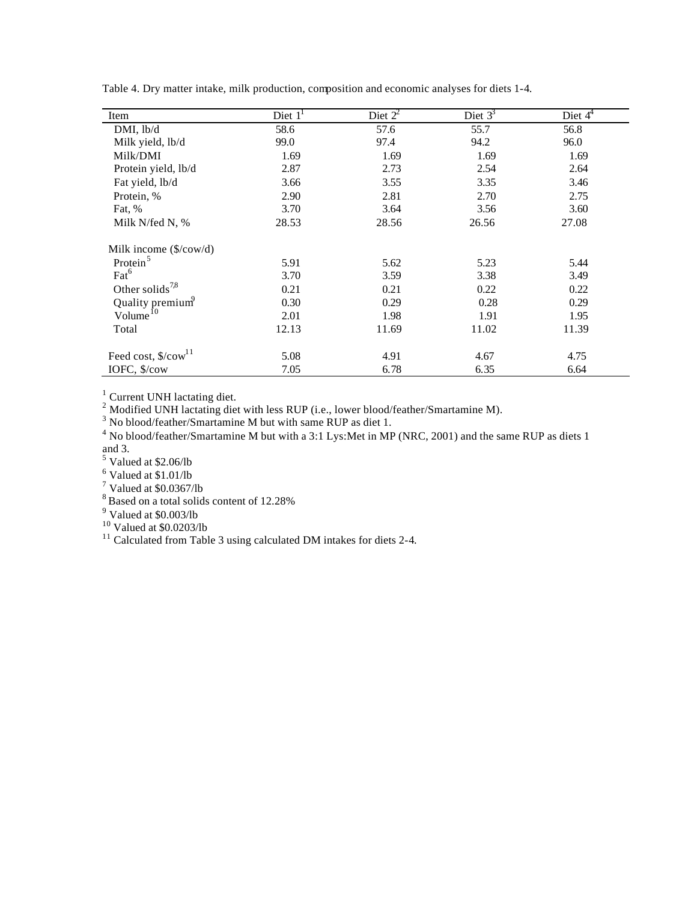| Item                                     | Diet $11$ | Diet $2^2$ | Diet $3^3$ | Diet $44$ |
|------------------------------------------|-----------|------------|------------|-----------|
| DMI, lb/d                                | 58.6      | 57.6       | 55.7       | 56.8      |
| Milk yield, lb/d                         | 99.0      | 97.4       | 94.2       | 96.0      |
| Milk/DMI                                 | 1.69      | 1.69       | 1.69       | 1.69      |
| Protein yield, lb/d                      | 2.87      | 2.73       | 2.54       | 2.64      |
| Fat yield, lb/d                          | 3.66      | 3.55       | 3.35       | 3.46      |
| Protein, %                               | 2.90      | 2.81       | 2.70       | 2.75      |
| Fat, %                                   | 3.70      | 3.64       | 3.56       | 3.60      |
| Milk N/fed N, %                          | 28.53     | 28.56      | 26.56      | 27.08     |
| Milk income $(\frac{\sqrt{6}}{\cos(10)}$ |           |            |            |           |
| Protein <sup>5</sup>                     | 5.91      | 5.62       | 5.23       | 5.44      |
| $\text{Fact}^6$                          | 3.70      | 3.59       | 3.38       | 3.49      |
| Other solids <sup>7,8</sup>              | 0.21      | 0.21       | 0.22       | 0.22      |
| Quality premium <sup>9</sup>             | 0.30      | 0.29       | 0.28       | 0.29      |
| Volume <sup>10</sup>                     | 2.01      | 1.98       | 1.91       | 1.95      |
| Total                                    | 12.13     | 11.69      | 11.02      | 11.39     |
| Feed cost, \$/cow <sup>11</sup>          | 5.08      | 4.91       | 4.67       | 4.75      |
| IOFC, \$/cow                             | 7.05      | 6.78       | 6.35       | 6.64      |

Table 4. Dry matter intake, milk production, composition and economic analyses for diets 1-4.

<sup>1</sup> Current UNH lactating diet.<br><sup>2</sup> Modified UNH lactating diet with less RUP (i.e., lower blood/feather/Smartamine M).<br><sup>3</sup> No blood/feather/Smartamine M but with same RUP as diet 1.

 $4$  No blood/feather/Smartamine M but with a 3:1 Lys: Met in MP (NRC, 2001) and the same RUP as diets 1 and 3.<br><sup>5</sup> Valued at \$2.06/lb

 $^6$  Valued at \$1.01/lb<br> $^7$  Valued at \$0.0367/lb

 $8$  Based on a total solids content of 12.28%

 $9$  Valued at \$0.003/lb

 $10$  Valued at \$0.0203/lb

<sup>11</sup> Calculated from Table 3 using calculated DM intakes for diets 2-4.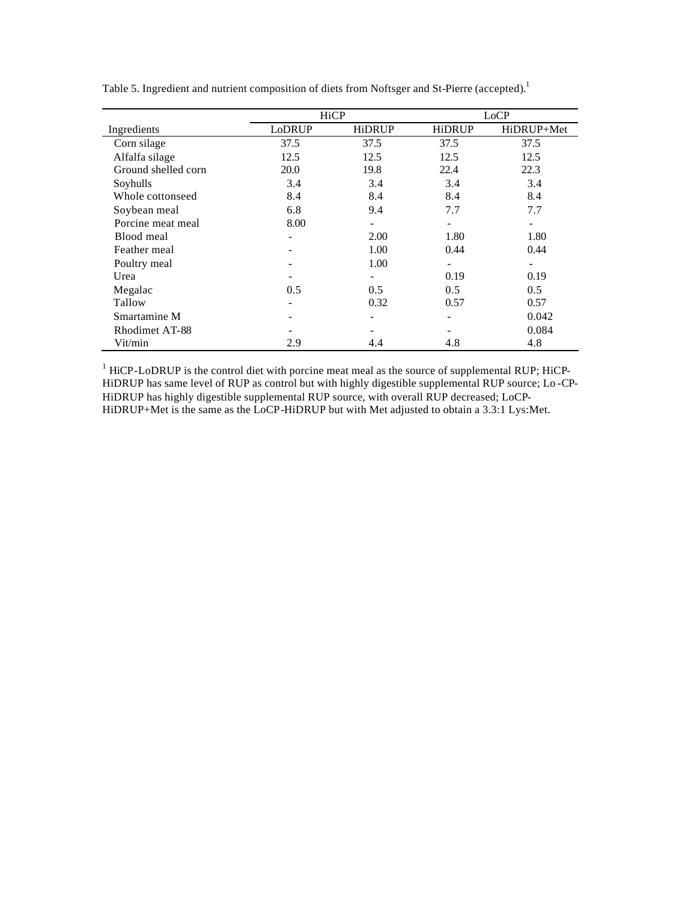|                     | HiCP   |                          | LoCP                         |            |  |
|---------------------|--------|--------------------------|------------------------------|------------|--|
| Ingredients         | LoDRUP | <b>HiDRUP</b>            | <b>HiDRUP</b>                | HiDRUP+Met |  |
| Corn silage         | 37.5   | 37.5                     | 37.5                         | 37.5       |  |
| Alfalfa silage      | 12.5   | 12.5                     | 12.5                         | 12.5       |  |
| Ground shelled corn | 20.0   | 19.8                     | 22.4                         | 22.3       |  |
| Soyhulls            | 3.4    | 3.4                      | 3.4                          | 3.4        |  |
| Whole cottonseed    | 8.4    | 8.4                      | 8.4                          | 8.4        |  |
| Soybean meal        | 6.8    | 9.4                      | 7.7                          | 7.7        |  |
| Porcine meat meal   | 8.00   | $\overline{\phantom{a}}$ | $\qquad \qquad \blacksquare$ |            |  |
| Blood meal          |        | 2.00                     | 1.80                         | 1.80       |  |
| Feather meal        |        | 1.00                     | 0.44                         | 0.44       |  |
| Poultry meal        | -      | 1.00                     | $\overline{\phantom{a}}$     | ۰          |  |
| Urea                |        | -                        | 0.19                         | 0.19       |  |
| Megalac             | 0.5    | $0.5^{\circ}$            | 0.5                          | 0.5        |  |
| Tallow              | -      | 0.32                     | 0.57                         | 0.57       |  |
| Smartamine M        |        |                          | ۰                            | 0.042      |  |
| Rhodimet AT-88      |        |                          |                              | 0.084      |  |
| Vit/min             | 2.9    | 4.4                      | 4.8                          | 4.8        |  |

Table 5. Ingredient and nutrient composition of diets from Noftsger and St-Pierre (accepted).<sup>1</sup>

 $<sup>1</sup>$  HiCP-LoDRUP is the control diet with porcine meat meal as the source of supplemental RUP; HiCP-</sup> HiDRUP has same level of RUP as control but with highly digestible supplemental RUP source; Lo-CP-HiDRUP has highly digestible supplemental RUP source, with overall RUP decreased; LoCP-HiDRUP+Met is the same as the LoCP-HiDRUP but with Met adjusted to obtain a 3.3:1 Lys:Met.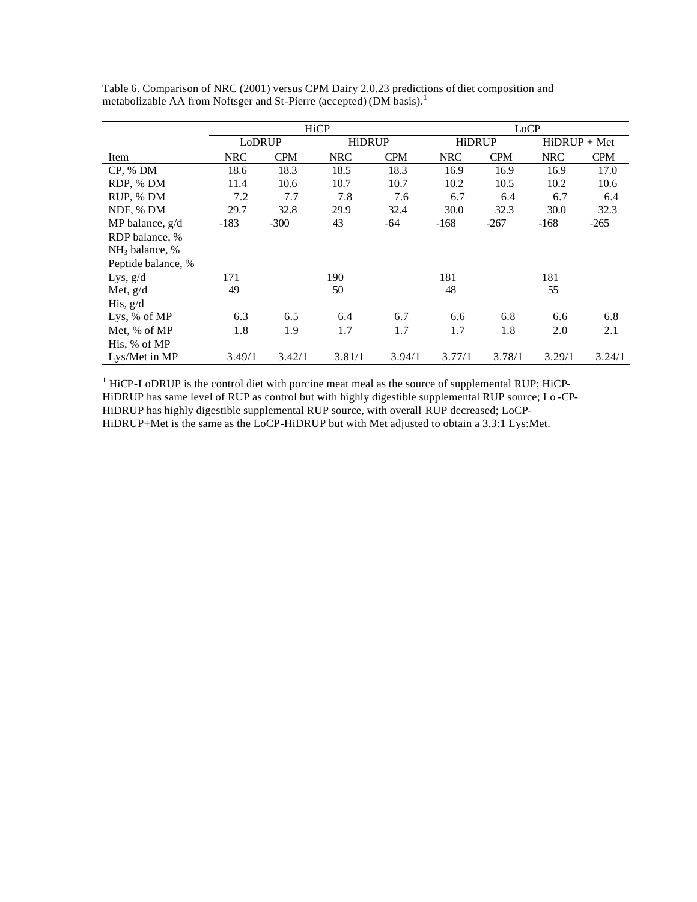|                    |            | HiCP       |            |            | LoCP          |            |                |            |
|--------------------|------------|------------|------------|------------|---------------|------------|----------------|------------|
|                    | LoDRUP     |            | HiDRUP     |            | <b>HiDRUP</b> |            | $HiDRUP + Met$ |            |
| Item               | <b>NRC</b> | <b>CPM</b> | <b>NRC</b> | <b>CPM</b> | <b>NRC</b>    | <b>CPM</b> | <b>NRC</b>     | <b>CPM</b> |
| CP, % DM           | 18.6       | 18.3       | 18.5       | 18.3       | 16.9          | 16.9       | 16.9           | 17.0       |
| RDP, % DM          | 11.4       | 10.6       | 10.7       | 10.7       | 10.2          | 10.5       | 10.2           | 10.6       |
| RUP, % DM          | 7.2        | 7.7        | 7.8        | 7.6        | 6.7           | 6.4        | 6.7            | 6.4        |
| NDF, % DM          | 29.7       | 32.8       | 29.9       | 32.4       | 30.0          | 32.3       | 30.0           | 32.3       |
| MP balance, $g/d$  | $-183$     | $-300$     | 43         | $-64$      | $-168$        | $-267$     | $-168$         | $-265$     |
| RDP balance, %     |            |            |            |            |               |            |                |            |
| $NH3$ balance, %   |            |            |            |            |               |            |                |            |
| Peptide balance, % |            |            |            |            |               |            |                |            |
| Lys, $g/d$         | 171        |            | 190        |            | 181           |            | 181            |            |
| Met, $g/d$         | 49         |            | 50         |            | 48            |            | 55             |            |
| His, $g/d$         |            |            |            |            |               |            |                |            |
| Lys, % of MP       | 6.3        | 6.5        | 6.4        | 6.7        | 6.6           | 6.8        | 6.6            | 6.8        |
| Met, % of MP       | 1.8        | 1.9        | 1.7        | 1.7        | 1.7           | 1.8        | 2.0            | 2.1        |
| His, % of MP       |            |            |            |            |               |            |                |            |
| Lys/Met in MP      | 3.49/1     | 3.42/1     | 3.81/1     | 3.94/1     | 3.77/1        | 3.78/1     | 3.29/1         | 3.24/1     |

Table 6. Comparison of NRC (2001) versus CPM Dairy 2.0.23 predictions of diet composition and metabolizable AA from Noftsger and St-Pierre (accepted) (DM basis).<sup>1</sup>

 $<sup>1</sup>$  HiCP-LoDRUP is the control diet with porcine meat meal as the source of supplemental RUP; HiCP-</sup> HiDRUP has same level of RUP as control but with highly digestible supplemental RUP source; Lo -CP-HiDRUP has highly digestible supplemental RUP source, with overall RUP decreased; LoCP-HiDRUP+Met is the same as the LoCP-HiDRUP but with Met adjusted to obtain a 3.3:1 Lys:Met.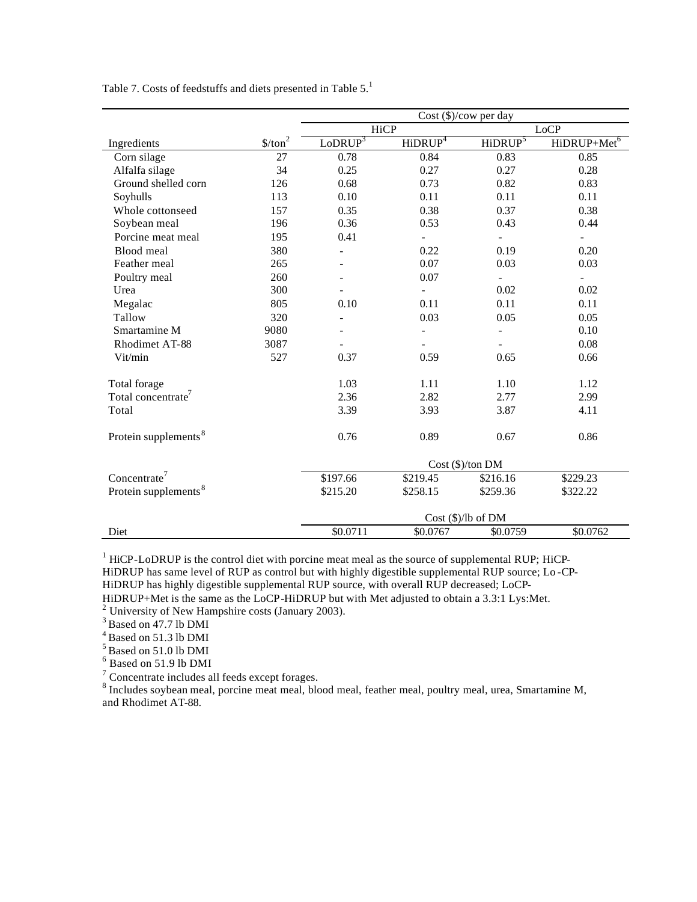|                                  |                                 | Cost (\$)/cov per day    |                     |                     |                          |  |  |
|----------------------------------|---------------------------------|--------------------------|---------------------|---------------------|--------------------------|--|--|
|                                  |                                 | HiCP                     |                     |                     | <b>LoCP</b>              |  |  |
| Ingredients                      | $\frac{\text{S}}{\text{ton}^2}$ | LoDRUP <sup>3</sup>      | HiDRUP <sup>4</sup> | HiDRUP <sup>5</sup> | HiDRUP+Met <sup>6</sup>  |  |  |
| Corn silage                      | 27                              | 0.78                     | 0.84                | 0.83                | 0.85                     |  |  |
| Alfalfa silage                   | 34                              | 0.25                     | 0.27                | 0.27                | 0.28                     |  |  |
| Ground shelled corn              | 126                             | 0.68                     | 0.73                | 0.82                | 0.83                     |  |  |
| Soyhulls                         | 113                             | 0.10                     | 0.11                | 0.11                | 0.11                     |  |  |
| Whole cottonseed                 | 157                             | 0.35                     | 0.38                | 0.37                | 0.38                     |  |  |
| Soybean meal                     | 196                             | 0.36                     | 0.53                | 0.43                | 0.44                     |  |  |
| Porcine meat meal                | 195                             | 0.41                     |                     |                     | $\blacksquare$           |  |  |
| Blood meal                       | 380                             |                          | 0.22                | 0.19                | 0.20                     |  |  |
| Feather meal                     | 265                             | $\overline{\phantom{0}}$ | 0.07                | 0.03                | 0.03                     |  |  |
| Poultry meal                     | 260                             |                          | 0.07                |                     | $\overline{\phantom{a}}$ |  |  |
| Urea                             | 300                             |                          |                     | 0.02                | 0.02                     |  |  |
| Megalac                          | 805                             | 0.10                     | 0.11                | 0.11                | 0.11                     |  |  |
| Tallow                           | 320                             |                          | 0.03                | 0.05                | 0.05                     |  |  |
| Smartamine M                     | 9080                            |                          |                     |                     | 0.10                     |  |  |
| Rhodimet AT-88                   | 3087                            |                          |                     |                     | 0.08                     |  |  |
| Vit/min                          | 527                             | 0.37                     | 0.59                | 0.65                | 0.66                     |  |  |
| Total forage                     |                                 | 1.03                     | 1.11                | 1.10                | 1.12                     |  |  |
| Total concentrate <sup>7</sup>   |                                 | 2.36                     | 2.82                | 2.77                | 2.99                     |  |  |
| Total                            |                                 | 3.39                     | 3.93                | 3.87                | 4.11                     |  |  |
| Protein supplements <sup>8</sup> |                                 | 0.76                     | 0.89                | 0.67                | 0.86                     |  |  |
|                                  |                                 | Cost (\$)/ton DM         |                     |                     |                          |  |  |
| Concentrate <sup>7</sup>         |                                 | \$197.66                 | \$219.45            | \$216.16            | \$229.23                 |  |  |
| Protein supplements <sup>8</sup> |                                 | \$215.20                 | \$258.15            | \$259.36            | \$322.22                 |  |  |
|                                  |                                 | $Cost$ (\$)/lb of DM     |                     |                     |                          |  |  |
| Diet                             |                                 | \$0.0711                 | \$0.0767            | \$0.0759            | \$0.0762                 |  |  |

Table 7. Costs of feedstuffs and diets presented in Table 5.<sup>1</sup>

 $<sup>1</sup>$  HiCP-LoDRUP is the control diet with porcine meat meal as the source of supplemental RUP; HiCP-</sup> HiDRUP has same level of RUP as control but with highly digestible supplemental RUP source; Lo -CP-HiDRUP has highly digestible supplemental RUP source, with overall RUP decreased; LoCP-HiDRUP+Met is the same as the LoCP-HiDRUP but with Met adjusted to obtain a 3.3:1 Lys:Met.<br><sup>2</sup> University of New Hampshire costs (January 2003).

 $3$  Based on 47.7 lb DMI

<sup>4</sup> Based on 51.3 lb DMI

 $<sup>5</sup>$  Based on 51.0 lb DMI</sup>

6 Based on 51.9 lb DMI

 $7$  Concentrate includes all feeds except forages.

<sup>8</sup> Includes soybean meal, porcine meat meal, blood meal, feather meal, poultry meal, urea, Smartamine M, and Rhodimet AT-88.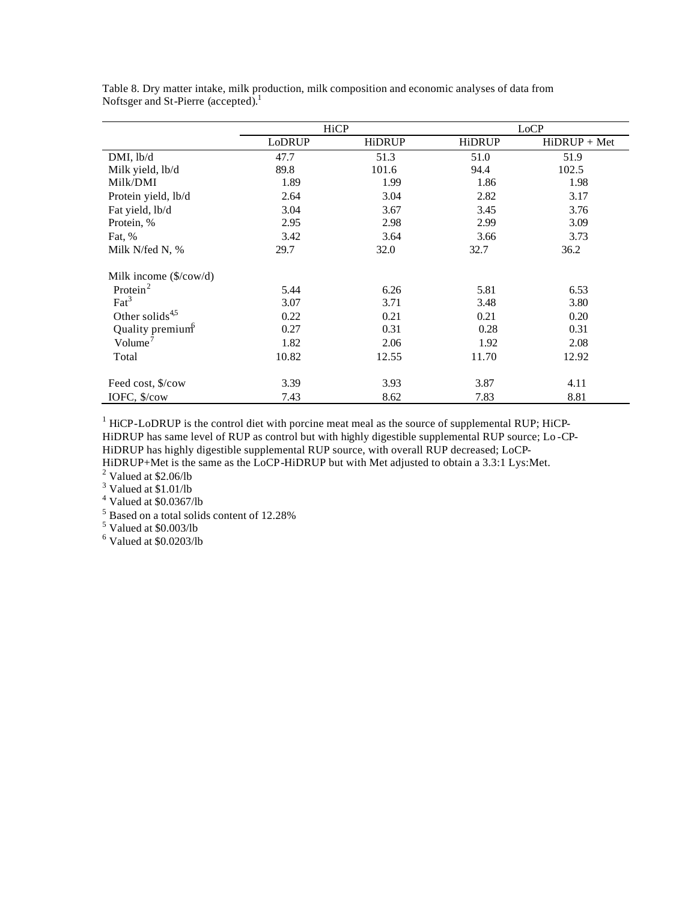|                                       |        | HiCP          |        | LoCP           |  |  |
|---------------------------------------|--------|---------------|--------|----------------|--|--|
|                                       | LoDRUP | <b>HiDRUP</b> | HiDRUP | $HiDRUP + Met$ |  |  |
| DMI, lb/d                             | 47.7   | 51.3          | 51.0   | 51.9           |  |  |
| Milk yield, lb/d                      | 89.8   | 101.6         | 94.4   | 102.5          |  |  |
| Milk/DMI                              | 1.89   | 1.99          | 1.86   | 1.98           |  |  |
| Protein yield, lb/d                   | 2.64   | 3.04          | 2.82   | 3.17           |  |  |
| Fat yield, lb/d                       | 3.04   | 3.67          | 3.45   | 3.76           |  |  |
| Protein, %                            | 2.95   | 2.98          | 2.99   | 3.09           |  |  |
| Fat, %                                | 3.42   | 3.64          | 3.66   | 3.73           |  |  |
| Milk N/fed N, %                       | 29.7   | 32.0          | 32.7   | 36.2           |  |  |
| Milk income $(\frac{\sigma}{\sigma})$ |        |               |        |                |  |  |
| Protein $2$                           | 5.44   | 6.26          | 5.81   | 6.53           |  |  |
| $\text{Fact}^3$                       | 3.07   | 3.71          | 3.48   | 3.80           |  |  |
| Other solids <sup>4,5</sup>           | 0.22   | 0.21          | 0.21   | 0.20           |  |  |
| Quality premium <sup>6</sup>          | 0.27   | 0.31          | 0.28   | 0.31           |  |  |
| Volume <sup><math>7</math></sup>      | 1.82   | 2.06          | 1.92   | 2.08           |  |  |
| Total                                 | 10.82  | 12.55         | 11.70  | 12.92          |  |  |
| Feed cost, \$/cow                     | 3.39   | 3.93          | 3.87   | 4.11           |  |  |
| IOFC, \$/cow                          | 7.43   | 8.62          | 7.83   | 8.81           |  |  |

Table 8. Dry matter intake, milk production, milk composition and economic analyses of data from Noftsger and St-Pierre (accepted).<sup>1</sup>

 $<sup>1</sup>$  HiCP-LoDRUP is the control diet with porcine meat meal as the source of supplemental RUP; HiCP-</sup> HiDRUP has same level of RUP as control but with highly digestible supplemental RUP source; Lo -CP-HiDRUP has highly digestible supplemental RUP source, with overall RUP decreased; LoCP-HiDRUP+Met is the same as the LoCP-HiDRUP but with Met adjusted to obtain a 3.3:1 Lys:Met.

 $2$  Valued at \$2.06/lb

 $3$  Valued at \$1.01/lb

 $4$  Valued at \$0.0367/lb

<sup>5</sup> Based on a total solids content of 12.28%

5 Valued at \$0.003/lb

 $<sup>6</sup>$  Valued at \$0.0203/lb</sup>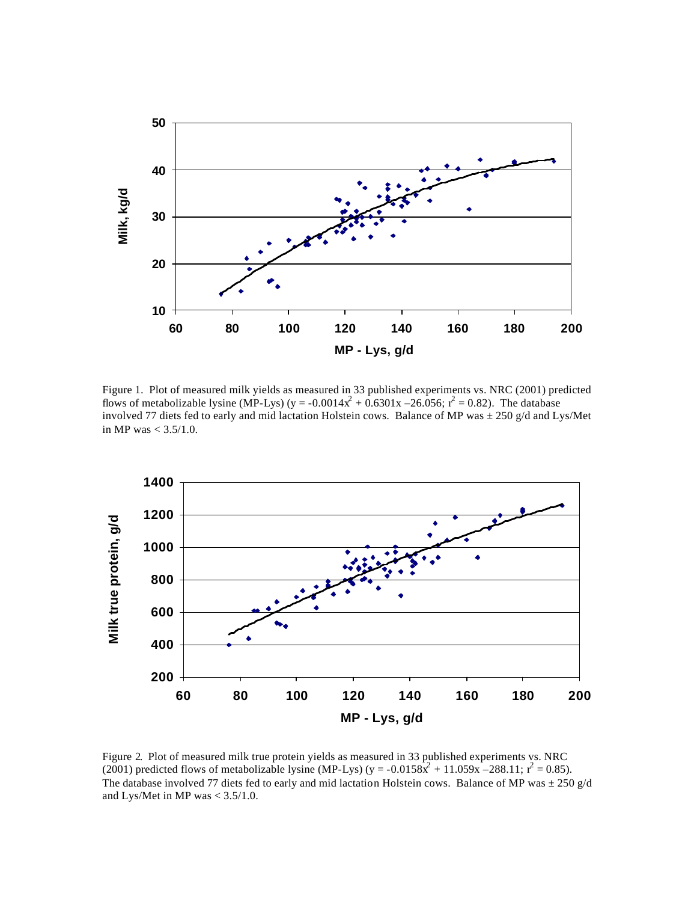

Figure 1. Plot of measured milk yields as measured in 33 published experiments vs. NRC (2001) predicted flows of metabolizable lysine (MP-Lys) (y = -0.0014x<sup>2</sup> + 0.6301x -26.056;  $r^2 = 0.82$ ). The database involved 77 diets fed to early and mid lactation Holstein cows. Balance of MP was  $\pm$  250 g/d and Lys/Met in MP was  $< 3.5/1.0$ .



Figure 2. Plot of measured milk true protein yields as measured in 33 published experiments vs. NRC (2001) predicted flows of metabolizable lysine (MP-Lys) (y = -0.0158 $\hat{x}^2$  + 11.059x -288.11;  $r^2$  = 0.85). The database involved 77 diets fed to early and mid lactation Holstein cows. Balance of MP was  $\pm 250$  g/d and Lys/Met in MP was < 3.5/1.0.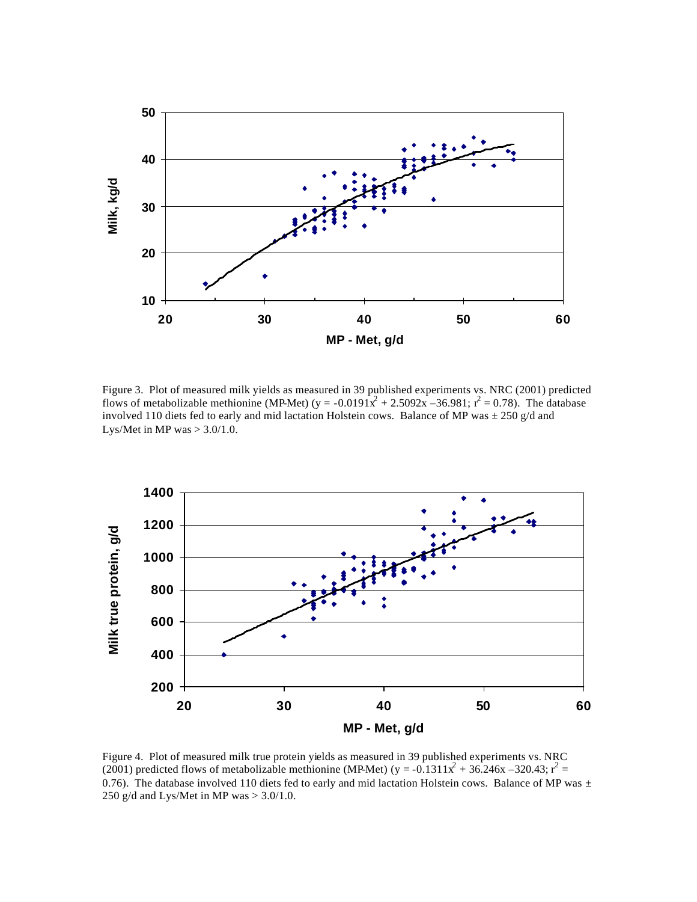

Figure 3. Plot of measured milk yields as measured in 39 published experiments vs. NRC (2001) predicted flows of metabolizable methionine (MP-Met) (y = -0.0191x<sup>2</sup> + 2.5092x -36.981;  $r^2 = 0.78$ ). The database involved 110 diets fed to early and mid lactation Holstein cows. Balance of MP was  $\pm$  250 g/d and Lys/Met in MP was  $> 3.0/1.0$ .



Figure 4. Plot of measured milk true protein yields as measured in 39 published experiments vs. NRC (2001) predicted flows of metabolizable methionine (MP-Met) (y = -0.1311x<sup>2</sup> + 36.246x -320.43; r<sup>2</sup> = 0.76). The database involved 110 diets fed to early and mid lactation Holstein cows. Balance of MP was  $\pm$ 250 g/d and Lys/Met in MP was  $> 3.0/1.0$ .